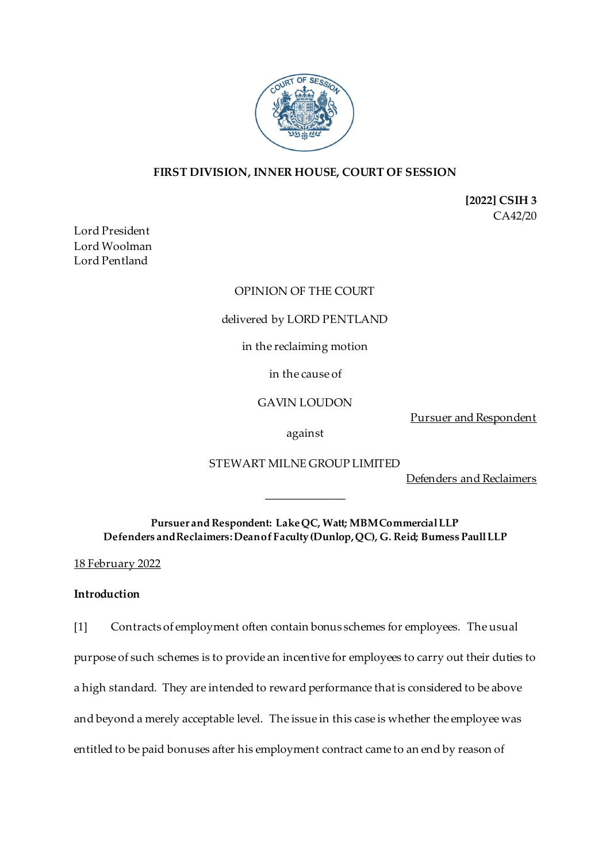

# **FIRST DIVISION, INNER HOUSE, COURT OF SESSION**

**[2022] CSIH 3** CA42/20

Lord President Lord Woolman Lord Pentland

## OPINION OF THE COURT

## delivered by LORD PENTLAND

## in the reclaiming motion

in the cause of

GAVIN LOUDON

Pursuer and Respondent

against

STEWART MILNE GROUP LIMITED

Defenders and Reclaimers

**Pursuer and Respondent: Lake QC, Watt; MBM Commercial LLP Defenders and Reclaimers:Dean of Faculty (Dunlop, QC), G. Reid; Burness Paull LLP**

\_\_\_\_\_\_\_\_\_\_\_\_\_\_

18 February 2022

## **Introduction**

[1] Contracts of employment often contain bonus schemes for employees. The usual purpose of such schemes is to provide an incentive for employees to carry out their duties to a high standard. They are intended to reward performance that is considered to be above and beyond a merely acceptable level. The issue in this case is whether the employee was entitled to be paid bonuses after his employment contract came to an end by reason of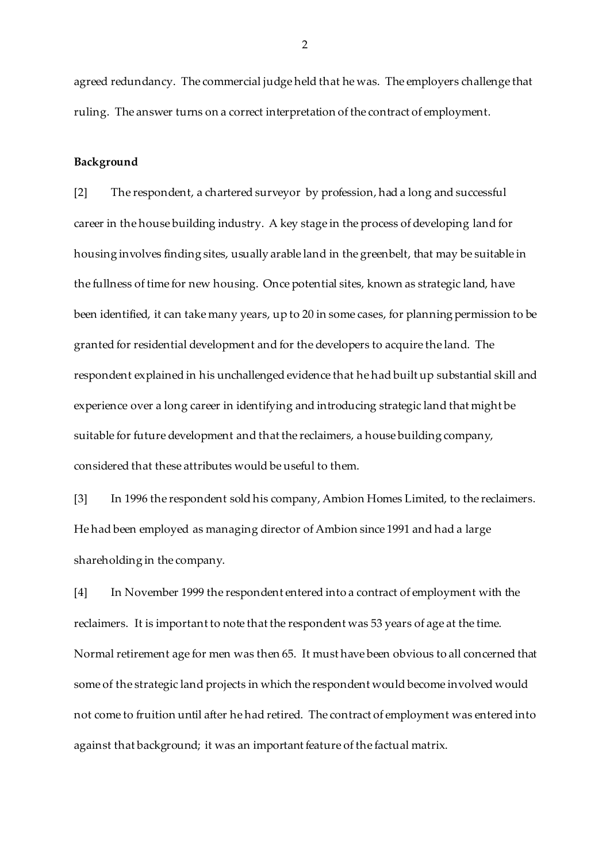agreed redundancy. The commercial judge held that he was. The employers challenge that ruling. The answer turns on a correct interpretation of the contract of employment.

### **Background**

[2] The respondent, a chartered surveyor by profession, had a long and successful career in the house building industry. A key stage in the process of developing land for housing involves finding sites, usually arable land in the greenbelt, that may be suitable in the fullness of time for new housing. Once potential sites, known as strategic land, have been identified, it can take many years, up to 20 in some cases, for planning permission to be granted for residential development and for the developers to acquire the land. The respondent explained in his unchallenged evidence that he had built up substantial skill and experience over a long career in identifying and introducing strategic land that might be suitable for future development and that the reclaimers, a house building company, considered that these attributes would be useful to them.

[3] In 1996 the respondent sold his company, Ambion Homes Limited, to the reclaimers. He had been employed as managing director of Ambion since 1991 and had a large shareholding in the company.

[4] In November 1999 the respondent entered into a contract of employment with the reclaimers. It is important to note that the respondent was 53 years of age at the time. Normal retirement age for men was then 65. It must have been obvious to all concerned that some of the strategic land projects in which the respondent would become involved would not come to fruition until after he had retired. The contract of employment was entered into against that background; it was an important feature of the factual matrix.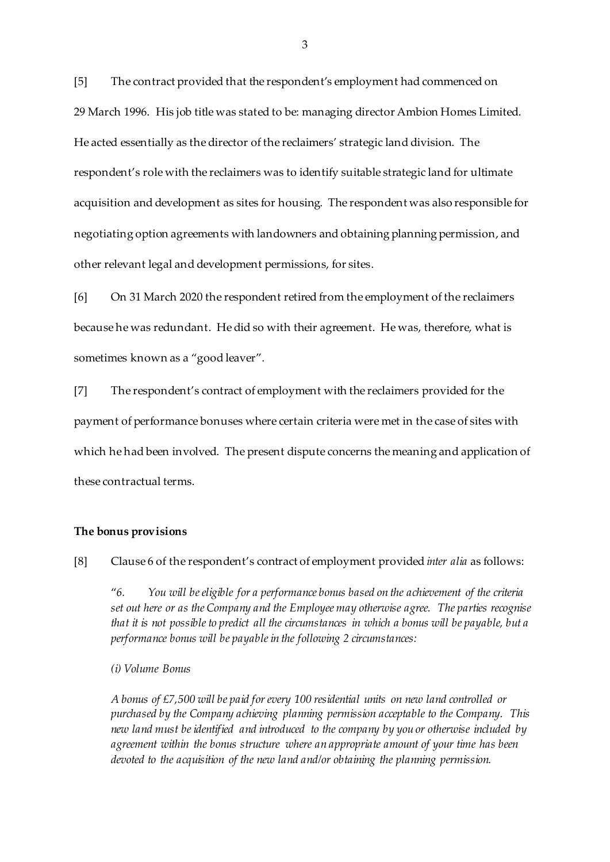[5] The contract provided that the respondent's employment had commenced on 29 March 1996. His job title was stated to be: managing director Ambion Homes Limited. He acted essentially as the director of the reclaimers' strategic land division. The respondent's role with the reclaimers was to identify suitable strategic land for ultimate acquisition and development as sites for housing. The respondent was also responsible for negotiating option agreements with landowners and obtaining planning permission, and other relevant legal and development permissions, for sites.

[6] On 31 March 2020 the respondent retired from the employment of the reclaimers because he was redundant. He did so with their agreement. He was, therefore, what is sometimes known as a "good leaver".

[7] The respondent's contract of employment with the reclaimers provided for the payment of performance bonuses where certain criteria were met in the case of sites with which he had been involved. The present dispute concerns the meaning and application of these contractual terms.

#### **The bonus provisions**

[8] Clause 6 of the respondent's contract of employment provided *inter alia* as follows:

"*6. You will be eligible for a performance bonus based on the achievement of the criteria set out here or as the Company and the Employee may otherwise agree. The parties recognise that it is not possible to predict all the circumstances in which a bonus will be payable, but a performance bonus will be payable in the following 2 circumstances:* 

*(i) Volume Bonus* 

*A bonus of £7,500 will be paid for every 100 residential units on new land controlled or purchased by the Company achieving planning permission acceptable to the Company. This new land must be identified and introduced to the company by you or otherwise included by agreement within the bonus structure where an appropriate amount of your time has been devoted to the acquisition of the new land and/or obtaining the planning permission.*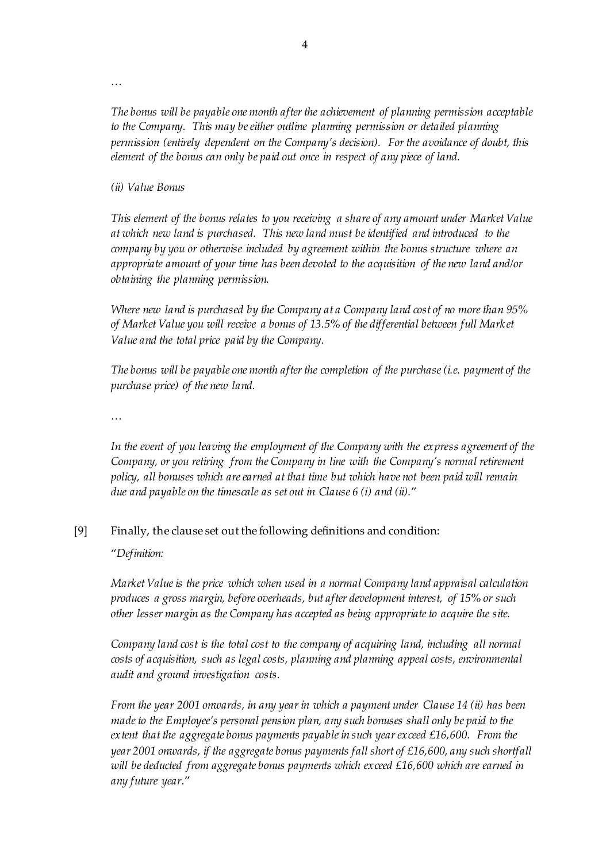*…*

*The bonus will be payable one month after the achievement of planning permission acceptable to the Company. This may be either outline planning permission or detailed planning permission (entirely dependent on the Company's decision). For the avoidance of doubt, this element of the bonus can only be paid out once in respect of any piece of land.* 

*(ii) Value Bonus* 

*This element of the bonus relates to you receiving a share of any amount under Market Value at which new land is purchased. This new land must be identified and introduced to the company by you or otherwise included by agreement within the bonus structure where an appropriate amount of your time has been devoted to the acquisition of the new land and/or obtaining the planning permission.* 

*Where new land is purchased by the Company at a Company land cost of no more than 95% of Market Value you will receive a bonus of 13.5% of the differential between full Mark et Value and the total price paid by the Company.* 

*The bonus will be payable one month after the completion of the purchase (i.e. payment of the purchase price) of the new land.* 

*…*

*In the event of you leaving the employment of the Company with the express agreement of the Company, or you retiring from the Company in line with the Company's normal retirement policy, all bonuses which are earned at that time but which have not been paid will remain due and payable on the timescale as set out in Clause 6 (i) and (ii).*"

## [9] Finally, the clause set out the following definitions and condition:

"*Definition:* 

*Market Value is the price which when used in a normal Company land appraisal calculation produces a gross margin, before overheads, but after development interest, of 15% or such other lesser margin as the Company has accepted as being appropriate to acquire the site.* 

*Company land cost is the total cost to the company of acquiring land, including all normal costs of acquisition, such as legal costs, planning and planning appeal costs, environmental audit and ground investigation costs.* 

*From the year 2001 onwards, in any year in which a payment under Clause 14 (ii) has been made to the Employee's personal pension plan, any such bonuses shall only be paid to the extent that the aggregate bonus payments payable in such year exceed £16,600. From the year 2001 onwards, if the aggregate bonus payments fall short of £16,600, any such shortfall will be deducted from aggregate bonus payments which exceed £16,600 which are earned in any future year*."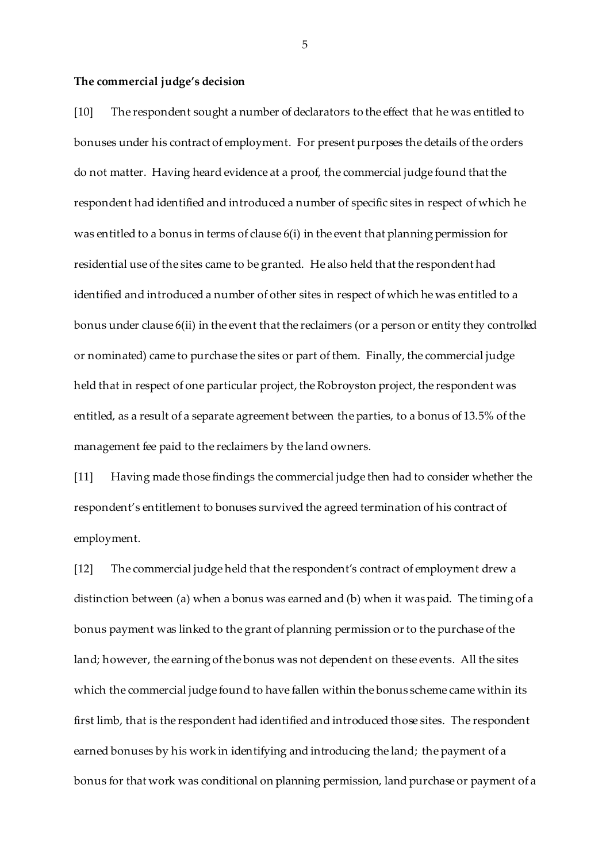#### **The commercial judge's decision**

[10] The respondent sought a number of declarators to the effect that he was entitled to bonuses under his contract of employment. For present purposes the details of the orders do not matter. Having heard evidence at a proof, the commercial judge found that the respondent had identified and introduced a number of specific sites in respect of which he was entitled to a bonus in terms of clause 6(i) in the event that planning permission for residential use of the sites came to be granted. He also held that the respondent had identified and introduced a number of other sites in respect of which he was entitled to a bonus under clause 6(ii) in the event that the reclaimers (or a person or entity they controlled or nominated) came to purchase the sites or part of them. Finally, the commercial judge held that in respect of one particular project, the Robroyston project, the respondent was entitled, as a result of a separate agreement between the parties, to a bonus of 13.5% of the management fee paid to the reclaimers by the land owners.

[11] Having made those findings the commercial judge then had to consider whether the respondent's entitlement to bonuses survived the agreed termination of his contract of employment.

[12] The commercial judge held that the respondent's contract of employment drew a distinction between (a) when a bonus was earned and (b) when it was paid. The timing of a bonus payment was linked to the grant of planning permission or to the purchase of the land; however, the earning of the bonus was not dependent on these events. All the sites which the commercial judge found to have fallen within the bonus scheme came within its first limb, that is the respondent had identified and introduced those sites. The respondent earned bonuses by his work in identifying and introducing the land; the payment of a bonus for that work was conditional on planning permission, land purchase or payment of a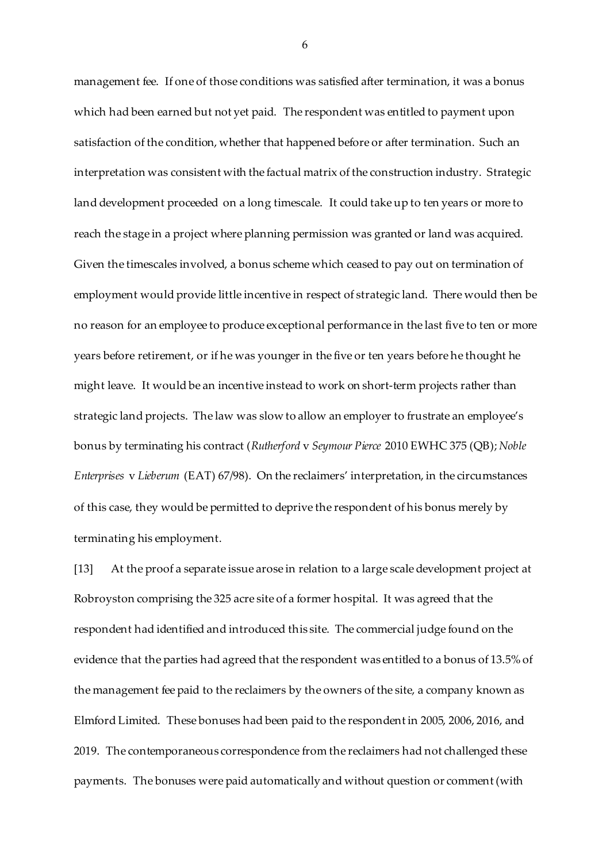management fee. If one of those conditions was satisfied after termination, it was a bonus which had been earned but not yet paid. The respondent was entitled to payment upon satisfaction of the condition, whether that happened before or after termination. Such an interpretation was consistent with the factual matrix of the construction industry. Strategic land development proceeded on a long timescale. It could take up to ten years or more to reach the stage in a project where planning permission was granted or land was acquired. Given the timescales involved, a bonus scheme which ceased to pay out on termination of employment would provide little incentive in respect of strategic land. There would then be no reason for an employee to produce exceptional performance in the last five to ten or more years before retirement, or if he was younger in the five or ten years before he thought he might leave. It would be an incentive instead to work on short-term projects rather than strategic land projects. The law was slow to allow an employer to frustrate an employee's bonus by terminating his contract (*Rutherford* v *Seymour Pierce* 2010 EWHC 375 (QB); *Noble Enterprises* v *Lieberum* (EAT) 67/98). On the reclaimers' interpretation, in the circumstances of this case, they would be permitted to deprive the respondent of his bonus merely by terminating his employment.

[13] At the proof a separate issue arose in relation to a large scale development project at Robroyston comprising the 325 acre site of a former hospital. It was agreed that the respondent had identified and introduced this site. The commercial judge found on the evidence that the parties had agreed that the respondent was entitled to a bonus of 13.5% of the management fee paid to the reclaimers by the owners of the site, a company known as Elmford Limited. These bonuses had been paid to the respondent in 2005, 2006, 2016, and 2019. The contemporaneous correspondence from the reclaimers had not challenged these payments. The bonuses were paid automatically and without question or comment (with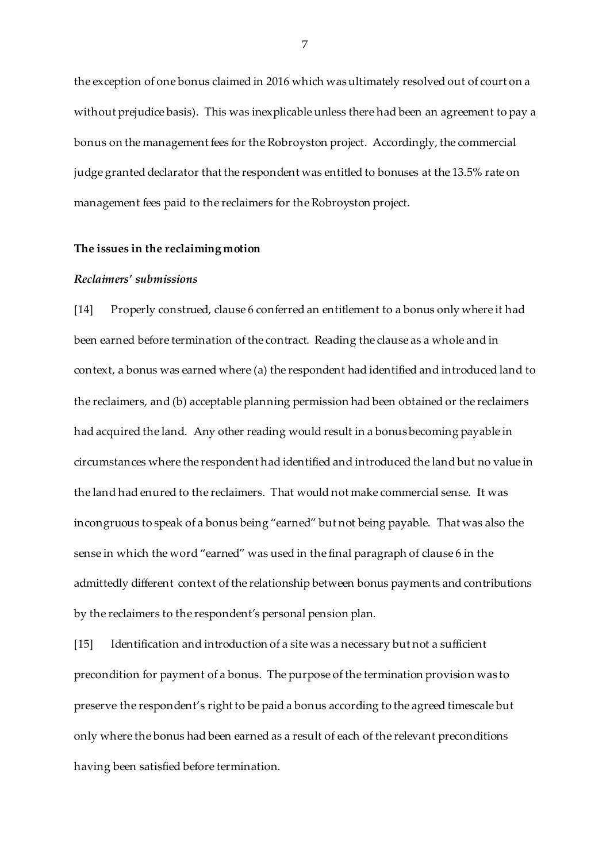the exception of one bonus claimed in 2016 which was ultimately resolved out of court on a without prejudice basis). This was inexplicable unless there had been an agreement to pay a bonus on the management fees for the Robroyston project. Accordingly, the commercial judge granted declarator that the respondent was entitled to bonuses at the 13.5% rate on management fees paid to the reclaimers for the Robroyston project.

### **The issues in the reclaiming motion**

#### *Reclaimers' submissions*

[14] Properly construed, clause 6 conferred an entitlement to a bonus only where it had been earned before termination of the contract. Reading the clause as a whole and in context, a bonus was earned where (a) the respondent had identified and introduced land to the reclaimers, and (b) acceptable planning permission had been obtained or the reclaimers had acquired the land. Any other reading would result in a bonus becoming payable in circumstances where the respondent had identified and introduced the land but no value in the land had enured to the reclaimers. That would not make commercial sense. It was incongruous to speak of a bonus being "earned" but not being payable. That was also the sense in which the word "earned" was used in the final paragraph of clause 6 in the admittedly different context of the relationship between bonus payments and contributions by the reclaimers to the respondent's personal pension plan.

[15] Identification and introduction of a site was a necessary but not a sufficient precondition for payment of a bonus. The purpose of the termination provision was to preserve the respondent's right to be paid a bonus according to the agreed timescale but only where the bonus had been earned as a result of each of the relevant preconditions having been satisfied before termination.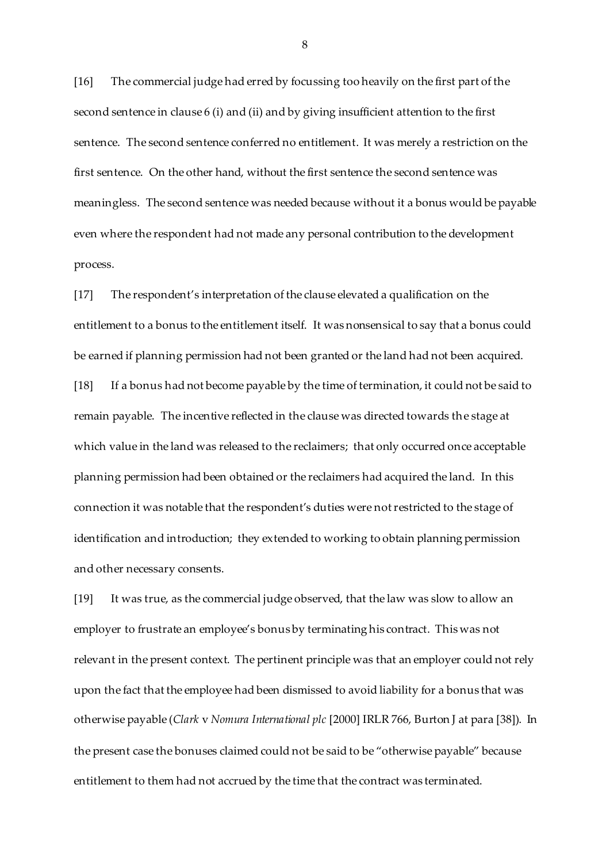[16] The commercial judge had erred by focussing too heavily on the first part of the second sentence in clause 6 (i) and (ii) and by giving insufficient attention to the first sentence. The second sentence conferred no entitlement. It was merely a restriction on the first sentence. On the other hand, without the first sentence the second sentence was meaningless. The second sentence was needed because without it a bonus would be payable even where the respondent had not made any personal contribution to the development process.

[17] The respondent's interpretation of the clause elevated a qualification on the entitlement to a bonus to the entitlement itself. It was nonsensical to say that a bonus could be earned if planning permission had not been granted or the land had not been acquired. [18] If a bonus had not become payable by the time of termination, it could not be said to remain payable. The incentive reflected in the clause was directed towards the stage at which value in the land was released to the reclaimers; that only occurred once acceptable planning permission had been obtained or the reclaimers had acquired the land. In this connection it was notable that the respondent's duties were not restricted to the stage of identification and introduction; they extended to working to obtain planning permission and other necessary consents.

[19] It was true, as the commercial judge observed, that the law was slow to allow an employer to frustrate an employee's bonus by terminating his contract. This was not relevant in the present context. The pertinent principle was that an employer could not rely upon the fact that the employee had been dismissed to avoid liability for a bonus that was otherwise payable (*Clark* v *Nomura International plc* [2000] IRLR 766, Burton J at para [38]). In the present case the bonuses claimed could not be said to be "otherwise payable" because entitlement to them had not accrued by the time that the contract was terminated.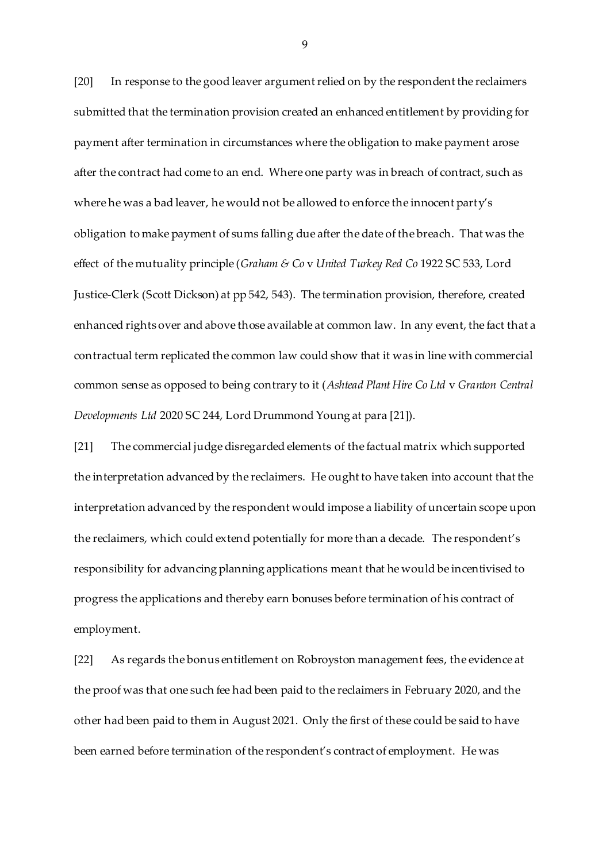[20] In response to the good leaver argument relied on by the respondent the reclaimers submitted that the termination provision created an enhanced entitlement by providing for payment after termination in circumstances where the obligation to make payment arose after the contract had come to an end. Where one party was in breach of contract, such as where he was a bad leaver, he would not be allowed to enforce the innocent party's obligation to make payment of sums falling due after the date of the breach. That was the effect of the mutuality principle (*Graham & Co* v *United Turkey Red Co* 1922 SC 533, Lord Justice-Clerk (Scott Dickson) at pp 542, 543). The termination provision, therefore, created enhanced rights over and above those available at common law. In any event, the fact that a contractual term replicated the common law could show that it was in line with commercial common sense as opposed to being contrary to it (*Ashtead Plant Hire Co Ltd* v *Granton Central Developments Ltd* 2020 SC 244, Lord Drummond Young at para [21]).

[21] The commercial judge disregarded elements of the factual matrix which supported the interpretation advanced by the reclaimers. He ought to have taken into account that the interpretation advanced by the respondent would impose a liability of uncertain scope upon the reclaimers, which could extend potentially for more than a decade. The respondent's responsibility for advancing planning applications meant that he would be incentivised to progress the applications and thereby earn bonuses before termination of his contract of employment.

[22] As regards the bonus entitlement on Robroyston management fees, the evidence at the proof was that one such fee had been paid to the reclaimers in February 2020, and the other had been paid to them in August 2021. Only the first of these could be said to have been earned before termination of the respondent's contract of employment. He was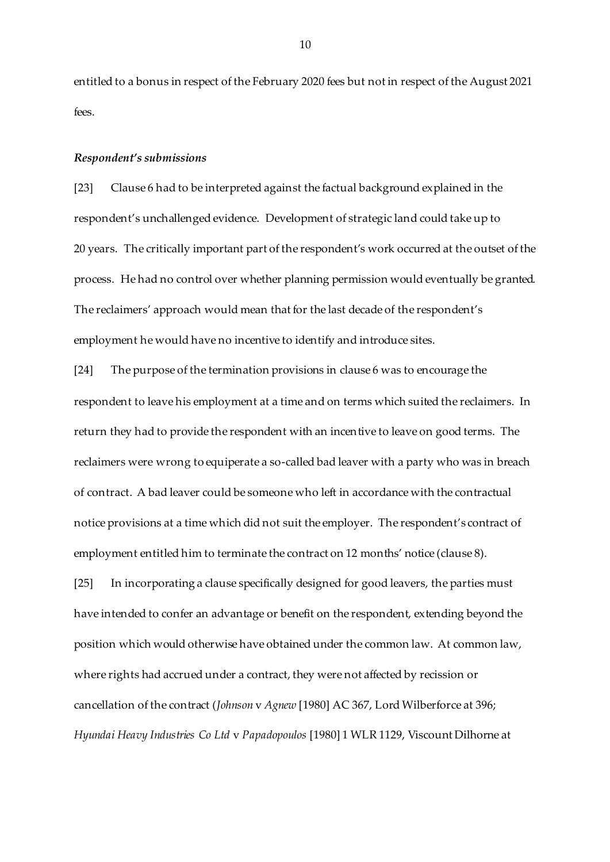entitled to a bonus in respect of the February 2020 fees but not in respect of the August 2021 fees.

#### *Respondent's submissions*

[23] Clause 6 had to be interpreted against the factual background explained in the respondent's unchallenged evidence. Development of strategic land could take up to 20 years. The critically important part of the respondent's work occurred at the outset of the process. He had no control over whether planning permission would eventually be granted. The reclaimers' approach would mean that for the last decade of the respondent's employment he would have no incentive to identify and introduce sites.

[24] The purpose of the termination provisions in clause 6 was to encourage the respondent to leave his employment at a time and on terms which suited the reclaimers. In return they had to provide the respondent with an incentive to leave on good terms. The reclaimers were wrong to equiperate a so-called bad leaver with a party who was in breach of contract. A bad leaver could be someone who left in accordance with the contractual notice provisions at a time which did not suit the employer. The respondent's contract of employment entitled him to terminate the contract on 12 months' notice (clause 8).

[25] In incorporating a clause specifically designed for good leavers, the parties must have intended to confer an advantage or benefit on the respondent, extending beyond the position which would otherwise have obtained under the common law. At common law, where rights had accrued under a contract, they were not affected by recission or cancellation of the contract (*Johnson* v *Agnew* [1980] AC 367, Lord Wilberforce at 396; *Hyundai Heavy Industries Co Ltd* v *Papadopoulos* [1980] 1 WLR 1129, Viscount Dilhorne at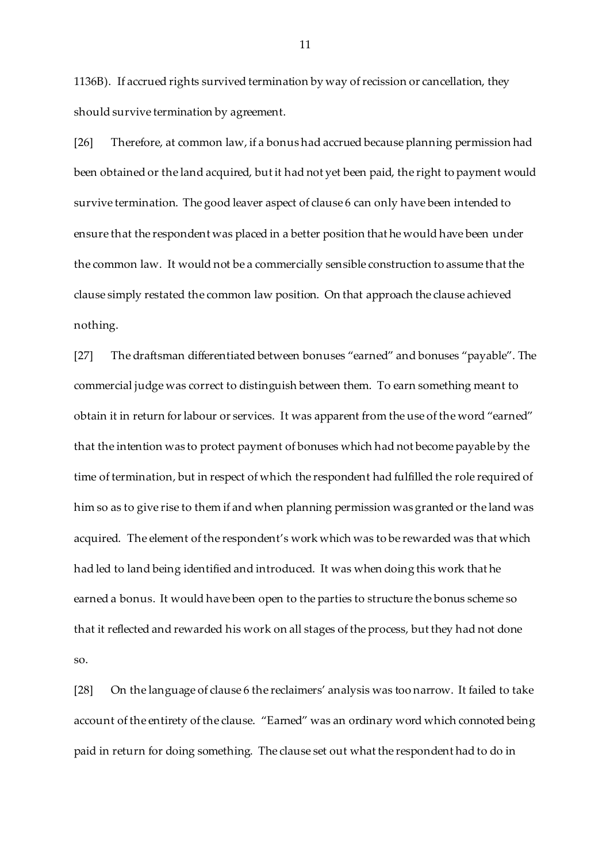1136B). If accrued rights survived termination by way of recission or cancellation, they should survive termination by agreement.

[26] Therefore, at common law, if a bonus had accrued because planning permission had been obtained or the land acquired, but it had not yet been paid, the right to payment would survive termination. The good leaver aspect of clause 6 can only have been intended to ensure that the respondent was placed in a better position that he would have been under the common law. It would not be a commercially sensible construction to assume that the clause simply restated the common law position. On that approach the clause achieved nothing.

[27] The draftsman differentiated between bonuses "earned" and bonuses "payable". The commercial judge was correct to distinguish between them. To earn something meant to obtain it in return for labour or services. It was apparent from the use of the word "earned" that the intention was to protect payment of bonuses which had not become payable by the time of termination, but in respect of which the respondent had fulfilled the role required of him so as to give rise to them if and when planning permission was granted or the land was acquired. The element of the respondent's work which was to be rewarded was that which had led to land being identified and introduced. It was when doing this work that he earned a bonus. It would have been open to the parties to structure the bonus scheme so that it reflected and rewarded his work on all stages of the process, but they had not done so.

[28] On the language of clause 6 the reclaimers' analysis was too narrow. It failed to take account of the entirety of the clause. "Earned" was an ordinary word which connoted being paid in return for doing something. The clause set out what the respondent had to do in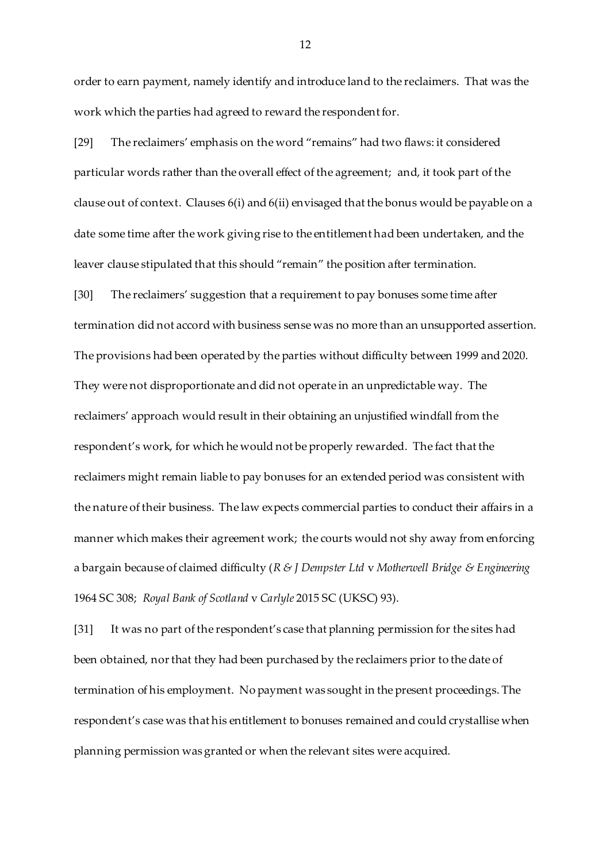order to earn payment, namely identify and introduce land to the reclaimers. That was the work which the parties had agreed to reward the respondent for.

[29] The reclaimers' emphasis on the word "remains" had two flaws: it considered particular words rather than the overall effect of the agreement; and, it took part of the clause out of context. Clauses 6(i) and 6(ii) envisaged that the bonus would be payable on a date some time after the work giving rise to the entitlement had been undertaken, and the leaver clause stipulated that this should "remain" the position after termination.

[30] The reclaimers' suggestion that a requirement to pay bonuses some time after termination did not accord with business sense was no more than an unsupported assertion. The provisions had been operated by the parties without difficulty between 1999 and 2020. They were not disproportionate and did not operate in an unpredictable way. The reclaimers' approach would result in their obtaining an unjustified windfall from the respondent's work, for which he would not be properly rewarded. The fact that the reclaimers might remain liable to pay bonuses for an extended period was consistent with the nature of their business. The law expects commercial parties to conduct their affairs in a manner which makes their agreement work; the courts would not shy away from enforcing a bargain because of claimed difficulty (*R & J Dempster Ltd* v *Motherwell Bridge & Engineering* 1964 SC 308; *Royal Bank of Scotland* v *Carlyle* 2015 SC (UKSC) 93).

[31] It was no part of the respondent's case that planning permission for the sites had been obtained, nor that they had been purchased by the reclaimers prior to the date of termination of his employment. No payment was sought in the present proceedings. The respondent's case was that his entitlement to bonuses remained and could crystallise when planning permission was granted or when the relevant sites were acquired.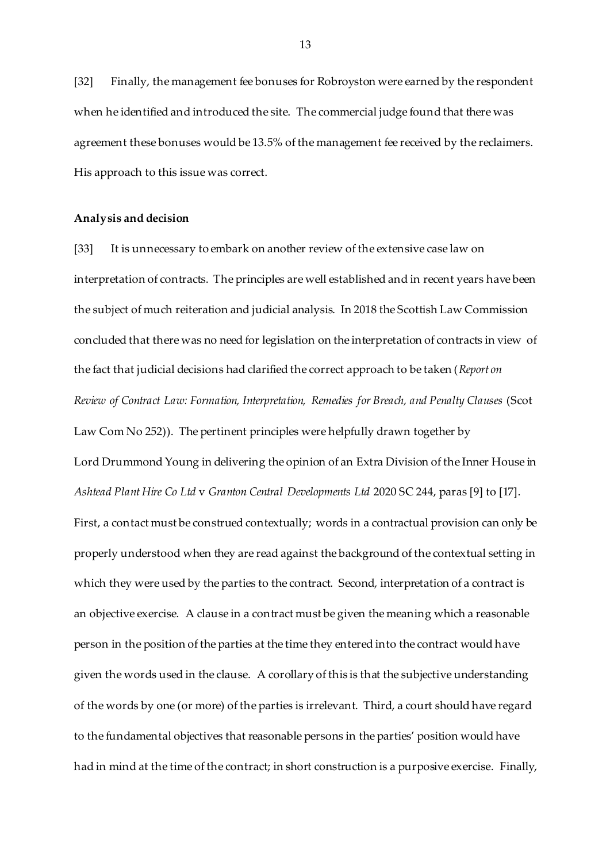[32] Finally, the management fee bonuses for Robroyston were earned by the respondent when he identified and introduced the site. The commercial judge found that there was agreement these bonuses would be 13.5% of the management fee received by the reclaimers. His approach to this issue was correct.

#### **Analysis and decision**

[33] It is unnecessary to embark on another review of the extensive case law on interpretation of contracts. The principles are well established and in recent years have been the subject of much reiteration and judicial analysis. In 2018 the Scottish Law Commission concluded that there was no need for legislation on the interpretation of contracts in view of the fact that judicial decisions had clarified the correct approach to be taken (*Report on Review of Contract Law: Formation, Interpretation, Remedies for Breach, and Penalty Clauses* (Scot Law Com No 252)). The pertinent principles were helpfully drawn together by Lord Drummond Young in delivering the opinion of an Extra Division of the Inner House in *Ashtead Plant Hire Co Ltd* v *Granton Central Developments Ltd* 2020 SC 244, paras [9] to [17]. First, a contact must be construed contextually; words in a contractual provision can only be properly understood when they are read against the background of the contextual setting in which they were used by the parties to the contract. Second, interpretation of a contract is an objective exercise. A clause in a contract must be given the meaning which a reasonable person in the position of the parties at the time they entered into the contract would have given the words used in the clause. A corollary of this is that the subjective understanding of the words by one (or more) of the parties is irrelevant. Third, a court should have regard to the fundamental objectives that reasonable persons in the parties' position would have had in mind at the time of the contract; in short construction is a purposive exercise. Finally,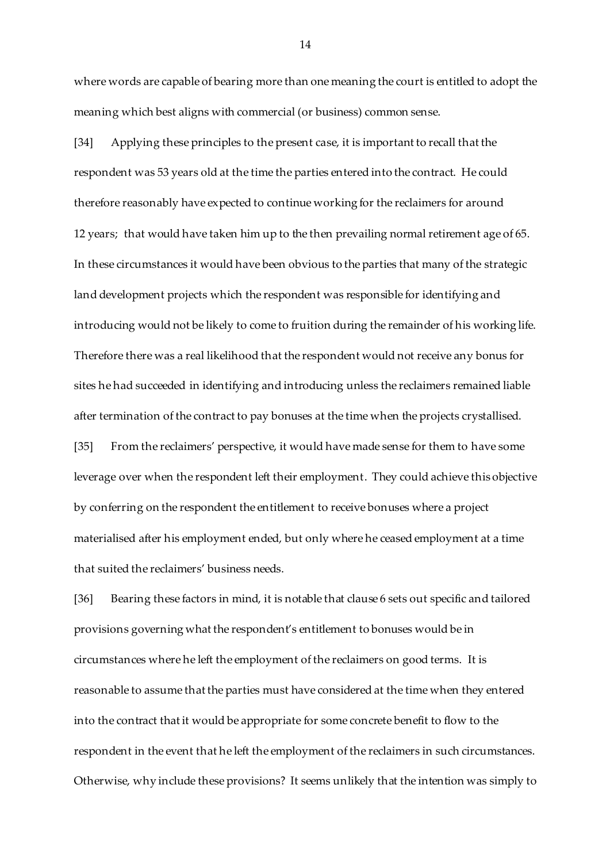where words are capable of bearing more than one meaning the court is entitled to adopt the meaning which best aligns with commercial (or business) common sense.

[34] Applying these principles to the present case, it is important to recall that the respondent was 53 years old at the time the parties entered into the contract. He could therefore reasonably have expected to continue working for the reclaimers for around 12 years; that would have taken him up to the then prevailing normal retirement age of 65. In these circumstances it would have been obvious to the parties that many of the strategic land development projects which the respondent was responsible for identifying and introducing would not be likely to come to fruition during the remainder of his working life. Therefore there was a real likelihood that the respondent would not receive any bonus for sites he had succeeded in identifying and introducing unless the reclaimers remained liable after termination of the contract to pay bonuses at the time when the projects crystallised. [35] From the reclaimers' perspective, it would have made sense for them to have some leverage over when the respondent left their employment. They could achieve this objective

materialised after his employment ended, but only where he ceased employment at a time that suited the reclaimers' business needs.

by conferring on the respondent the entitlement to receive bonuses where a project

[36] Bearing these factors in mind, it is notable that clause 6 sets out specific and tailored provisions governing what the respondent's entitlement to bonuses would be in circumstances where he left the employment of the reclaimers on good terms. It is reasonable to assume that the parties must have considered at the time when they entered into the contract that it would be appropriate for some concrete benefit to flow to the respondent in the event that he left the employment of the reclaimers in such circumstances. Otherwise, why include these provisions? It seems unlikely that the intention was simply to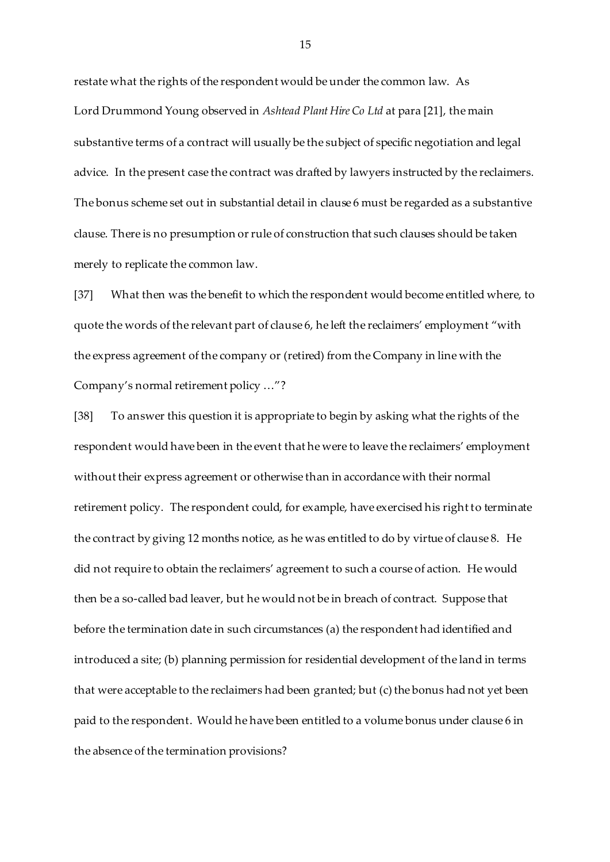restate what the rights of the respondent would be under the common law. As Lord Drummond Young observed in *Ashtead Plant Hire Co Ltd* at para [21], the main substantive terms of a contract will usually be the subject of specific negotiation and legal advice. In the present case the contract was drafted by lawyers instructed by the reclaimers. The bonus scheme set out in substantial detail in clause 6 must be regarded as a substantive clause. There is no presumption or rule of construction that such clauses should be taken merely to replicate the common law.

[37] What then was the benefit to which the respondent would become entitled where, to quote the words of the relevant part of clause 6, he left the reclaimers' employment "with the express agreement of the company or (retired) from the Company in line with the Company's normal retirement policy …"?

[38] To answer this question it is appropriate to begin by asking what the rights of the respondent would have been in the event that he were to leave the reclaimers' employment without their express agreement or otherwise than in accordance with their normal retirement policy. The respondent could, for example, have exercised his right to terminate the contract by giving 12 months notice, as he was entitled to do by virtue of clause 8. He did not require to obtain the reclaimers' agreement to such a course of action. He would then be a so-called bad leaver, but he would not be in breach of contract. Suppose that before the termination date in such circumstances (a) the respondent had identified and introduced a site; (b) planning permission for residential development of the land in terms that were acceptable to the reclaimers had been granted; but (c) the bonus had not yet been paid to the respondent. Would he have been entitled to a volume bonus under clause 6 in the absence of the termination provisions?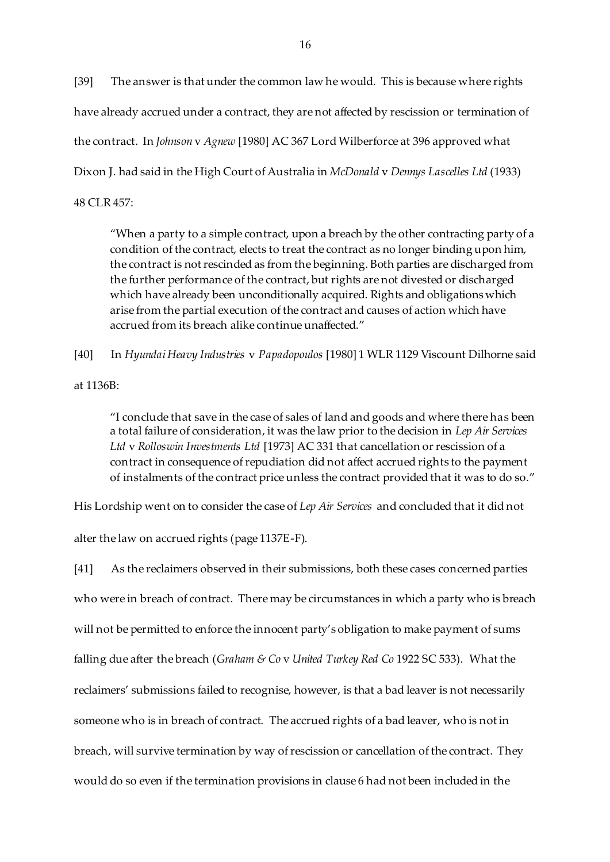[39] The answer is that under the common law he would. This is because where rights have already accrued under a contract, they are not affected by rescission or termination of the contract. In *Johnson* v *Agnew* [1980] AC 367 Lord Wilberforce at 396 approved what Dixon J. had said in the High Court of Australia in *McDonald* v *Dennys Lascelles Ltd* (1933) 48 CLR 457:

"When a party to a simple contract, upon a breach by the other contracting party of a condition of the contract, elects to treat the contract as no longer binding upon him, the contract is not rescinded as from the beginning. Both parties are discharged from the further performance of the contract, but rights are not divested or discharged which have already been unconditionally acquired. Rights and obligations which arise from the partial execution of the contract and causes of action which have accrued from its breach alike continue unaffected."

[40] In *Hyundai Heavy Industries* v *Papadopoulos* [1980] 1 WLR 1129 Viscount Dilhorne said

at 1136B:

"I conclude that save in the case of sales of land and goods and where there has been a total failure of consideration, it was the law prior to the decision in *Lep Air Services Ltd* v *Rolloswin Investments Ltd* [1973] AC 331 that cancellation or rescission of a contract in consequence of repudiation did not affect accrued rights to the payment of instalments of the contract price unless the contract provided that it was to do so."

His Lordship went on to consider the case of *Lep Air Services* and concluded that it did not

alter the law on accrued rights (page 1137E-F).

[41] As the reclaimers observed in their submissions, both these cases concerned parties who were in breach of contract. There may be circumstances in which a party who is breach will not be permitted to enforce the innocent party's obligation to make payment of sums falling due after the breach (*Graham & Co* v *United Turkey Red Co* 1922 SC 533). What the reclaimers' submissions failed to recognise, however, is that a bad leaver is not necessarily someone who is in breach of contract. The accrued rights of a bad leaver, who is not in breach, will survive termination by way of rescission or cancellation of the contract. They would do so even if the termination provisions in clause 6 had not been included in the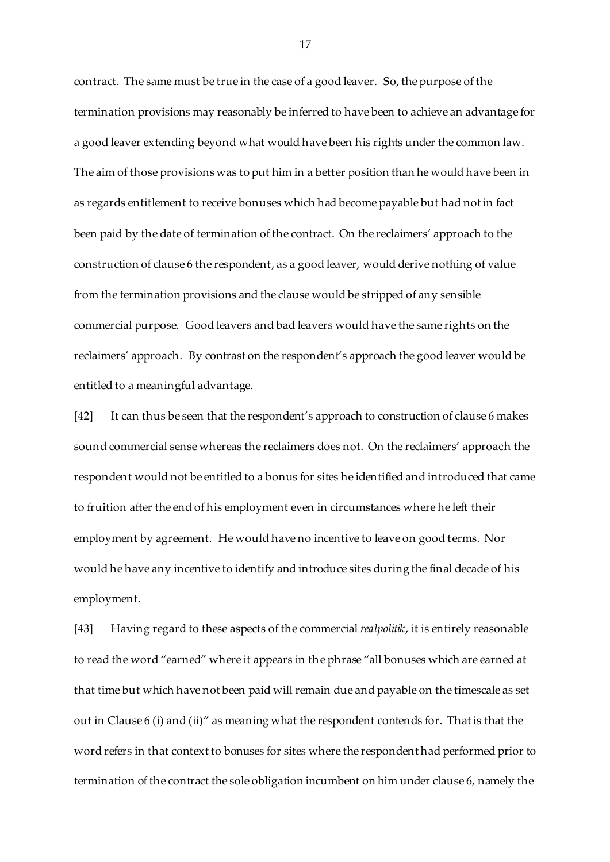contract. The same must be true in the case of a good leaver. So, the purpose of the termination provisions may reasonably be inferred to have been to achieve an advantage for a good leaver extending beyond what would have been his rights under the common law. The aim of those provisions was to put him in a better position than he would have been in as regards entitlement to receive bonuses which had become payable but had not in fact been paid by the date of termination of the contract. On the reclaimers' approach to the construction of clause 6 the respondent, as a good leaver, would derive nothing of value from the termination provisions and the clause would be stripped of any sensible commercial purpose. Good leavers and bad leavers would have the same rights on the reclaimers' approach. By contrast on the respondent's approach the good leaver would be entitled to a meaningful advantage.

[42] It can thus be seen that the respondent's approach to construction of clause 6 makes sound commercial sense whereas the reclaimers does not. On the reclaimers' approach the respondent would not be entitled to a bonus for sites he identified and introduced that came to fruition after the end of his employment even in circumstances where he left their employment by agreement. He would have no incentive to leave on good terms. Nor would he have any incentive to identify and introduce sites during the final decade of his employment.

[43] Having regard to these aspects of the commercial *realpolitik*, it is entirely reasonable to read the word "earned" where it appears in the phrase "all bonuses which are earned at that time but which have not been paid will remain due and payable on the timescale as set out in Clause 6 (i) and (ii)" as meaning what the respondent contends for. That is that the word refers in that context to bonuses for sites where the respondent had performed prior to termination of the contract the sole obligation incumbent on him under clause 6, namely the